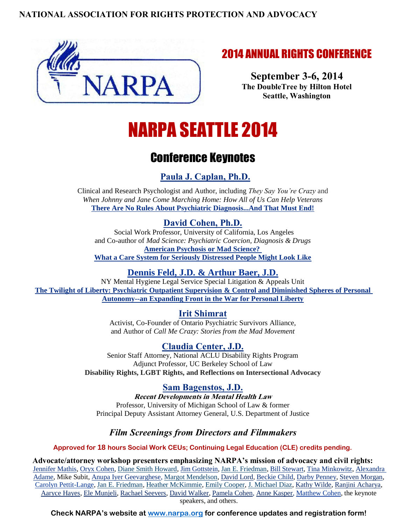#### **NATIONAL ASSOCIATION FOR RIGHTS PROTECTION AND ADVOCACY**



## 2014 ANNUAL RIGHTS CONFERENCE

**September 3-6, 2014 The DoubleTree by Hilton Hotel Seattle, Washington**

# NARPA SEATTLE 2014

# Conference Keynotes

## **[Paula J. Caplan, Ph.D.](http://www.narpa.org/caplan.htm)**

Clinical and Research Psychologist and Author, including *They Say You're Crazy* and *When Johnny and Jane Come Marching Home: How All of Us Can Help Veterans* **[There Are No Rules About Psychiatric Diagnosis...And That Must End!](http://www.narpa.org/2014/No%20Rules.htm)**

#### **[David Cohen, Ph.D.](http://www.narpa.org/david_cohen.htm)**

Social Work Professor, University of California, Los Angeles and Co-author of *Mad Science: Psychiatric Coercion, Diagnosis & Drugs* **[American Psychosis](http://www.narpa.org/2014/American%20Psychosis%20or%20Mad%20Science.htm) or Mad Science? [What a Care System for Seriously Distressed People Might Look Like](http://www.narpa.org/2014/American%20Psychosis%20or%20Mad%20Science.htm)**

#### **[Dennis Feld, J.D.](http://www.narpa.org/feld.htm) & [Arthur Baer, J.D.](http://www.narpa.org/baer.htm)**

NY Mental Hygiene Legal Service Special Litigation & Appeals Unit **[The Twilight of Liberty: Psychiatric Outpatient Supervision & Control and Diminished Spheres of Personal](http://www.narpa.org/2014/Twilight%20of%20Liberty.htm)  [Autonomy--an Expanding Front in the War for Personal Liberty](http://www.narpa.org/2014/Twilight%20of%20Liberty.htm)**

**[Irit Shimrat](http://www.narpa.org/shimrat.htm)**

Activist, Co-Founder of Ontario Psychiatric Survivors Alliance, and Author of *Call Me Crazy: Stories from the Mad Movement*

### **[Claudia Center, J.D.](http://www.narpa.org/center.htm)**

Senior Staff Attorney, National ACLU Disability Rights Program Adjunct Professor, UC Berkeley School of Law **Disability Rights, LGBT Rights, and Reflections on Intersectional Advocacy**

**[Sam Bagenstos, J.D.](http://www.narpa.org/bagenstos.htm)**

**Recent Developments in Mental Health Law**  Professor, University of Michigan School of Law & former Principal Deputy Assistant Attorney General, U.S. Department of Justice

### *Film Screenings from Directors and Filmmakers*

**Approved for 18 hours Social Work CEUs; Continuing Legal Education (CLE) credits pending.**

**Advocate/attorney workshop presenters emphasizing NARPA's mission of advocacy and civil rights:**  [Jennifer Mathis,](http://www.narpa.org/mathis.htm) [Oryx Cohen,](http://www.narpa.org/oryx.cohen.htm) [Diane Smith Howard,](http://www.narpa.org/howard.htm) [Jim Gottstein,](http://www.narpa.org/gottstein.htm) [Jan E. Friedman,](http://www.narpa.org/friedman.htm) [Bill Stewart,](http://www.narpa.org/stewart.htm) [Tina Minkowitz,](http://www.narpa.org/minkowitz.htm) [Alexandra](http://www.narpa.org/adame.htm)  [Adame,](http://www.narpa.org/adame.htm) Mike Subit, [Anupa Iyer Geevarghese,](http://www.narpa.org/iyer.htm) [Margot Mendelson,](http://rbgg.com/attorneys/associates/margot-mendelson/) [David Lord,](http://www.narpa.org/lord.htm) [Beckie Child,](http://www.narpa.org/child.htm) [Darby Penney,](http://www.narpa.org/penney.htm) [Steven Morgan,](http://www.narpa.org/morgan.htm) [Carolyn Pettit-Lange,](http://narpa.org/Pettit-Lange.htm) [Jan E. Friedman,](http://www.narpa.org/friedman.htm) [Heather McKimmie,](http://www.narpa.org/mckimmie.htm) [Emily Cooper,](http://www.narpa.org/emily.cooper.htm) [J. Michael Diaz,](http://www.justice.gov/usao/waw/Divisions/civilrights.html) [Kathy Wilde,](http://narpa.org/wilde.htm) [Ranjini Acharya,](http://www.narpa.org/acharya.htm) [Aaryce Hayes,](http://narpa.org/hayes.htm) [Ele Munjeli,](http://narpa.org/munjeli.htm) [Rachael Seevers,](http://www.narpa.org/seevers.htm) [David Walker,](http://www.narpa.org/walker.htm) [Pamela Cohen,](http://www.narpa.org/pam.cohen.htm) [Anne Kasper,](http://narpa.org/kasper.htm) [Matthew Cohen,](http://narpa.org/matthew.cohen.htm) the keynote speakers, and others.

**Check NARPA's website at [www.narpa.org](http://www.narpa.org/) for conference updates and registration form!**